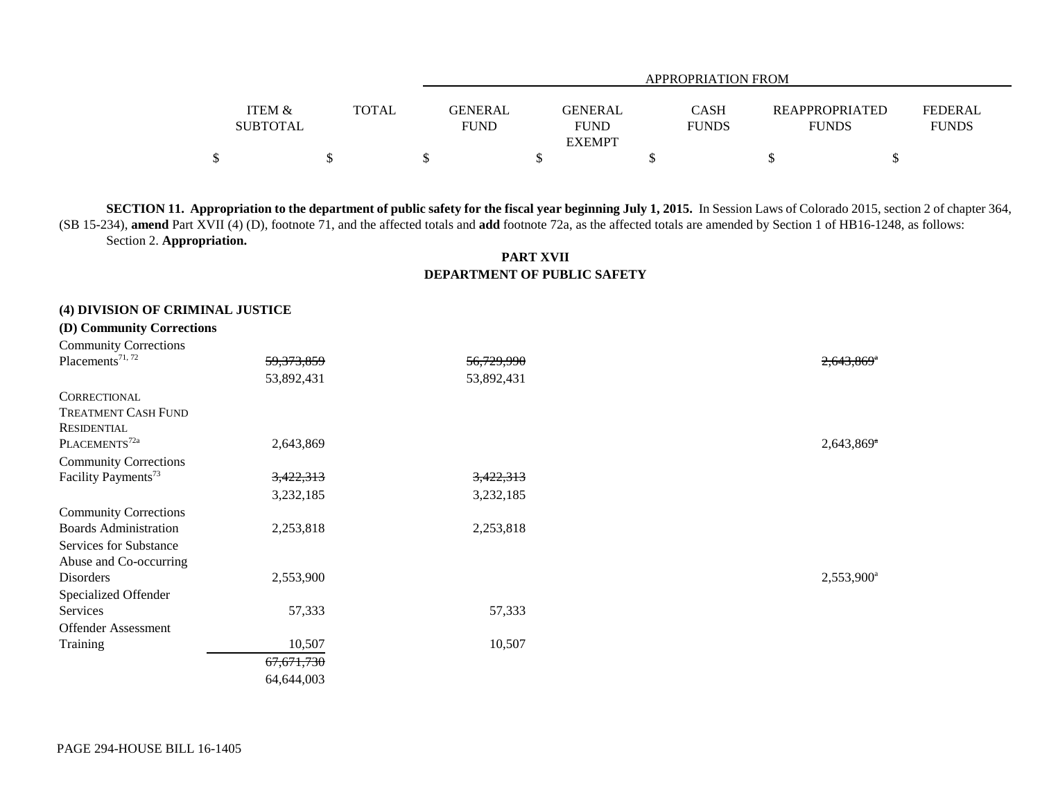|                   |              |                |               | APPROPRIATION FROM |                       |                |
|-------------------|--------------|----------------|---------------|--------------------|-----------------------|----------------|
|                   |              |                |               |                    |                       |                |
| <b>ITEM &amp;</b> | <b>TOTAL</b> | <b>GENERAL</b> | GENERAL       | CASH               | <b>REAPPROPRIATED</b> | <b>FEDERAL</b> |
| <b>SUBTOTAL</b>   |              | <b>FUND</b>    | <b>FUND</b>   | <b>FUNDS</b>       | <b>FUNDS</b>          | <b>FUNDS</b>   |
|                   |              |                | <b>EXEMPT</b> |                    |                       |                |
|                   |              |                |               |                    |                       |                |

**SECTION 11. Appropriation to the department of public safety for the fiscal year beginning July 1, 2015.** In Session Laws of Colorado 2015, section 2 of chapter 364, (SB 15-234), **amend** Part XVII (4) (D), footnote 71, and the affected totals and **add** footnote 72a, as the affected totals are amended by Section 1 of HB16-1248, as follows: Section 2. **Appropriation.**

> **PART XVII DEPARTMENT OF PUBLIC SAFETY**

## **(4) DIVISION OF CRIMINAL JUSTICE (D) Community Corrections**

| <b>Community Corrections</b>    |              |            |                          |
|---------------------------------|--------------|------------|--------------------------|
| Placements <sup>71, 72</sup>    | 59, 373, 859 | 56,729,990 | $2,643,869$ <sup>*</sup> |
|                                 | 53,892,431   | 53,892,431 |                          |
| CORRECTIONAL                    |              |            |                          |
| <b>TREATMENT CASH FUND</b>      |              |            |                          |
| <b>RESIDENTIAL</b>              |              |            |                          |
| PLACEMENTS <sup>72a</sup>       | 2,643,869    |            | $2,643,869$ <sup>*</sup> |
| <b>Community Corrections</b>    |              |            |                          |
| Facility Payments <sup>73</sup> | 3,422,313    | 3,422,313  |                          |
|                                 | 3,232,185    | 3,232,185  |                          |
| <b>Community Corrections</b>    |              |            |                          |
| <b>Boards Administration</b>    | 2,253,818    | 2,253,818  |                          |
| Services for Substance          |              |            |                          |
| Abuse and Co-occurring          |              |            |                          |
| Disorders                       | 2,553,900    |            | $2,553,900^a$            |
| Specialized Offender            |              |            |                          |
| Services                        | 57,333       | 57,333     |                          |
| <b>Offender Assessment</b>      |              |            |                          |
| Training                        | 10,507       | 10,507     |                          |
|                                 | 67,671,730   |            |                          |
|                                 | 64,644,003   |            |                          |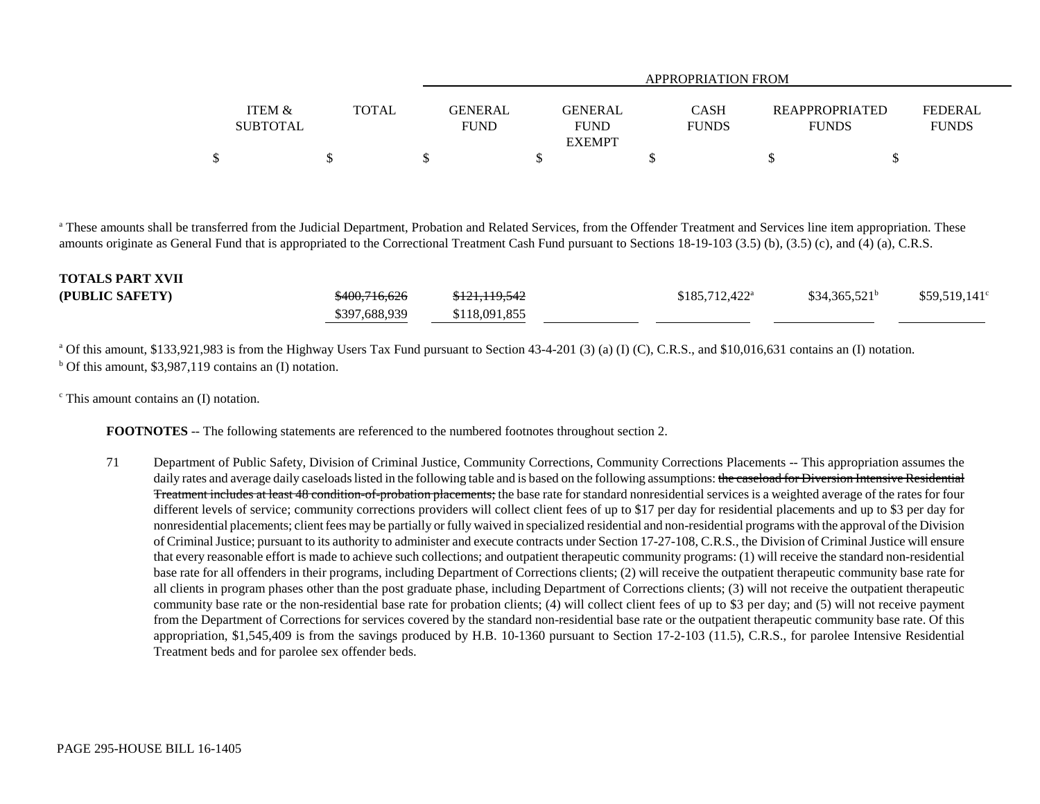|                           |       | APPROPRIATION FROM            |                        |                             |                                       |                                |  |  |
|---------------------------|-------|-------------------------------|------------------------|-----------------------------|---------------------------------------|--------------------------------|--|--|
| ITEM &<br><b>SUBTOTAL</b> | TOTAL | <b>GENERAL</b><br><b>FUND</b> | GENERAL<br><b>FUND</b> | <b>CASH</b><br><b>FUNDS</b> | <b>REAPPROPRIATED</b><br><b>FUNDS</b> | <b>FEDERAL</b><br><b>FUNDS</b> |  |  |
|                           |       |                               | <b>EXEMPT</b>          |                             |                                       |                                |  |  |
|                           |       |                               |                        |                             |                                       |                                |  |  |

<sup>a</sup> These amounts shall be transferred from the Judicial Department, Probation and Related Services, from the Offender Treatment and Services line item appropriation. These amounts originate as General Fund that is appropriated to the Correctional Treatment Cash Fund pursuant to Sections 18-19-103 (3.5) (b), (3.5) (c), and (4) (a), C.R.S.

| <b>TOTALS PART XVII</b> |                          |                          |                  |                 |                       |
|-------------------------|--------------------------|--------------------------|------------------|-----------------|-----------------------|
| (PUBLIC SAFETY)         | <del>\$400,716,626</del> | <del>\$121,119,542</del> | $$185,712,422^a$ | $$34,365,521^b$ | $$59,519,141^{\circ}$ |
|                         | \$397,688,939            | \$118,091,855            |                  |                 |                       |

<sup>a</sup> Of this amount, \$133,921,983 is from the Highway Users Tax Fund pursuant to Section 43-4-201 (3) (a) (I) (C), C.R.S., and \$10,016,631 contains an (I) notation.  $b$  Of this amount, \$3,987,119 contains an (I) notation.

 $\textdegree$  This amount contains an (I) notation.

**FOOTNOTES** -- The following statements are referenced to the numbered footnotes throughout section 2.

71 Department of Public Safety, Division of Criminal Justice, Community Corrections, Community Corrections Placements -- This appropriation assumes the daily rates and average daily caseloads listed in the following table and is based on the following assumptions: the caseload for Diversion Intensive Residential Treatment includes at least 48 condition-of-probation placements; the base rate for standard nonresidential services is a weighted average of the rates for four different levels of service; community corrections providers will collect client fees of up to \$17 per day for residential placements and up to \$3 per day for nonresidential placements; client fees may be partially or fully waived in specialized residential and non-residential programs with the approval of the Division of Criminal Justice; pursuant to its authority to administer and execute contracts under Section 17-27-108, C.R.S., the Division of Criminal Justice will ensure that every reasonable effort is made to achieve such collections; and outpatient therapeutic community programs: (1) will receive the standard non-residential base rate for all offenders in their programs, including Department of Corrections clients; (2) will receive the outpatient therapeutic community base rate for all clients in program phases other than the post graduate phase, including Department of Corrections clients; (3) will not receive the outpatient therapeutic community base rate or the non-residential base rate for probation clients; (4) will collect client fees of up to \$3 per day; and (5) will not receive payment from the Department of Corrections for services covered by the standard non-residential base rate or the outpatient therapeutic community base rate. Of this appropriation, \$1,545,409 is from the savings produced by H.B. 10-1360 pursuant to Section 17-2-103 (11.5), C.R.S., for parolee Intensive Residential Treatment beds and for parolee sex offender beds.